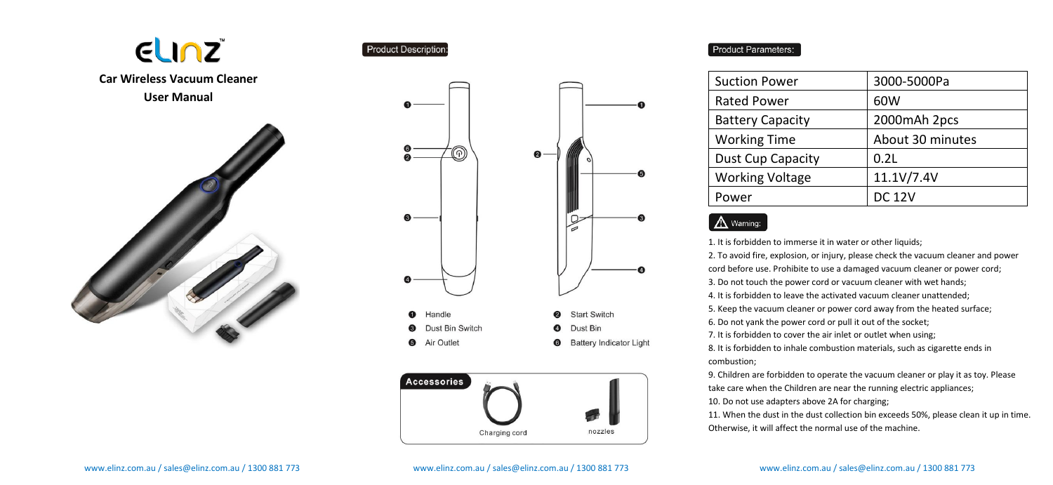







### Product Parameters:

| <b>Suction Power</b>    | 3000-5000Pa      |
|-------------------------|------------------|
| <b>Rated Power</b>      | 60W              |
| <b>Battery Capacity</b> | 2000mAh 2pcs     |
| <b>Working Time</b>     | About 30 minutes |
| Dust Cup Capacity       | 0.2L             |
| <b>Working Voltage</b>  | 11.1V/7.4V       |
| Power                   | <b>DC 12V</b>    |

# $\sum$  Warning:

1. It is forbidden to immerse it in water or other liquids;

2. To avoid fire, explosion, or injury, please check the vacuum cleaner and power cord before use. Prohibite to use a damaged vacuum cleaner or power cord;

3. Do not touch the power cord or vacuum cleaner with wet hands;

4. It is forbidden to leave the activated vacuum cleaner unattended;

5. Keep the vacuum cleaner or power cord away from the heated surface;

6. Do not yank the power cord or pull it out of the socket;

7. It is forbidden to cover the air inlet or outlet when using;

8. It is forbidden to inhale combustion materials, such as cigarette ends in combustion;

9. Children are forbidden to operate the vacuum cleaner or play it as toy. Please take care when the Children are near the running electric appliances;

10. Do not use adapters above 2A for charging;

11. When the dust in the dust collection bin exceeds 50%, please clean it up in time. Otherwise, it will affect the normal use of the machine.